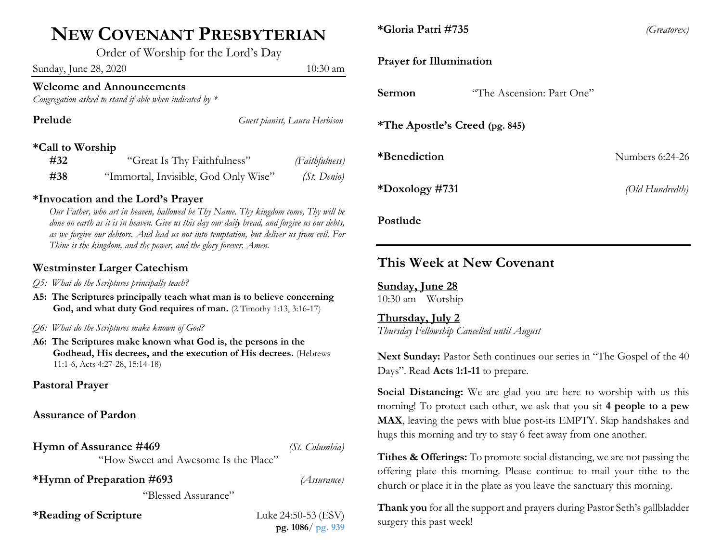## **NEW COVENANT PRESBYTERIAN**

Order of Worship for the Lord's Day

Sunday, June 28, 2020 10:30 am

## **Welcome and Announcements**

*Congregation asked to stand if able when indicated by \**

| Prelude          |                                      | Guest pianist, Laura Herbison |
|------------------|--------------------------------------|-------------------------------|
| *Call to Worship |                                      |                               |
| #32              | "Great Is Thy Faithfulness"          | (Faithfulness)                |
| #38              | "Immortal, Invisible, God Only Wise" | $(St. \ Denio)$               |

## **\*Invocation and the Lord's Prayer**

*Our Father, who art in heaven, hallowed be Thy Name. Thy kingdom come, Thy will be done on earth as it is in heaven. Give us this day our daily bread, and forgive us our debts, as we forgive our debtors. And lead us not into temptation, but deliver us from evil. For Thine is the kingdom, and the power, and the glory forever. Amen.*

## **Westminster Larger Catechism**

- *Q5: What do the Scriptures principally teach?*
- **A5: The Scriptures principally teach what man is to believe concerning God, and what duty God requires of man.** (2 Timothy 1:13, 3:16-17)
- *Q6: What do the Scriptures make known of God?*
- **A6: The Scriptures make known what God is, the persons in the Godhead, His decrees, and the execution of His decrees.** (Hebrews 11:1-6, Acts 4:27-28, 15:14-18)

## **Pastoral Prayer**

## **Assurance of Pardon**

**Hymn of Assurance #469** *(St. Columbia)*

"How Sweet and Awesome Is the Place"

**\*Hymn of Preparation #693** *(Assurance)*

"Blessed Assurance"

**\*Reading of Scripture** Luke 24:50-53 (ESV)

**pg. 1086**/ **pg. 939**

**\*Gloria Patri #735** *(Greatorex)*

### **Prayer for Illumination**

| Sermon                                | "The Ascension: Part One" |                 |  |  |
|---------------------------------------|---------------------------|-----------------|--|--|
| <i>*The Apostle's Creed (pg. 845)</i> |                           |                 |  |  |
| *Benediction                          |                           | Numbers 6:24-26 |  |  |
| *Doxology #731                        |                           | (Old Hundredth) |  |  |
| Postlude                              |                           |                 |  |  |

## **This Week at New Covenant**

**Sunday, June 28** 10:30 am Worship

**Thursday, July 2** *Thursday Fellowship Cancelled until August*

Next Sunday: Pastor Seth continues our series in "The Gospel of the 40 Days". Read **Acts 1:1-11** to prepare.

**Social Distancing:** We are glad you are here to worship with us this morning! To protect each other, we ask that you sit **4 people to a pew MAX**, leaving the pews with blue post-its EMPTY. Skip handshakes and hugs this morning and try to stay 6 feet away from one another.

**Tithes & Offerings:** To promote social distancing, we are not passing the offering plate this morning. Please continue to mail your tithe to the church or place it in the plate as you leave the sanctuary this morning.

**Thank you** for all the support and prayers during Pastor Seth's gallbladder surgery this past week!